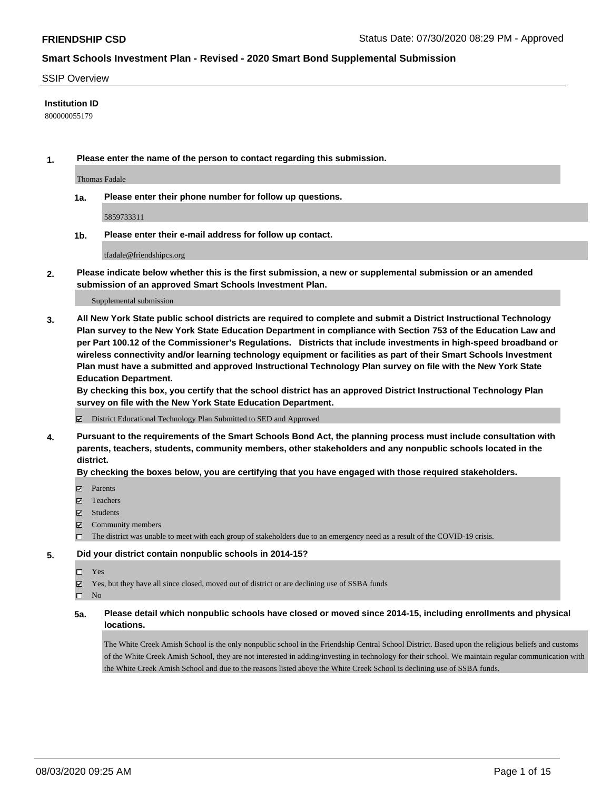#### SSIP Overview

### **Institution ID**

800000055179

**1. Please enter the name of the person to contact regarding this submission.**

Thomas Fadale

**1a. Please enter their phone number for follow up questions.**

5859733311

**1b. Please enter their e-mail address for follow up contact.**

tfadale@friendshipcs.org

**2. Please indicate below whether this is the first submission, a new or supplemental submission or an amended submission of an approved Smart Schools Investment Plan.**

#### Supplemental submission

**3. All New York State public school districts are required to complete and submit a District Instructional Technology Plan survey to the New York State Education Department in compliance with Section 753 of the Education Law and per Part 100.12 of the Commissioner's Regulations. Districts that include investments in high-speed broadband or wireless connectivity and/or learning technology equipment or facilities as part of their Smart Schools Investment Plan must have a submitted and approved Instructional Technology Plan survey on file with the New York State Education Department.** 

**By checking this box, you certify that the school district has an approved District Instructional Technology Plan survey on file with the New York State Education Department.**

District Educational Technology Plan Submitted to SED and Approved

**4. Pursuant to the requirements of the Smart Schools Bond Act, the planning process must include consultation with parents, teachers, students, community members, other stakeholders and any nonpublic schools located in the district.** 

#### **By checking the boxes below, you are certifying that you have engaged with those required stakeholders.**

- **Ø** Parents
- Teachers
- Students
- $\boxtimes$  Community members
- The district was unable to meet with each group of stakeholders due to an emergency need as a result of the COVID-19 crisis.

#### **5. Did your district contain nonpublic schools in 2014-15?**

- $\neg$  Yes
- Yes, but they have all since closed, moved out of district or are declining use of SSBA funds

 $\square$  No

**5a. Please detail which nonpublic schools have closed or moved since 2014-15, including enrollments and physical locations.**

The White Creek Amish School is the only nonpublic school in the Friendship Central School District. Based upon the religious beliefs and customs of the White Creek Amish School, they are not interested in adding/investing in technology for their school. We maintain regular communication with the White Creek Amish School and due to the reasons listed above the White Creek School is declining use of SSBA funds.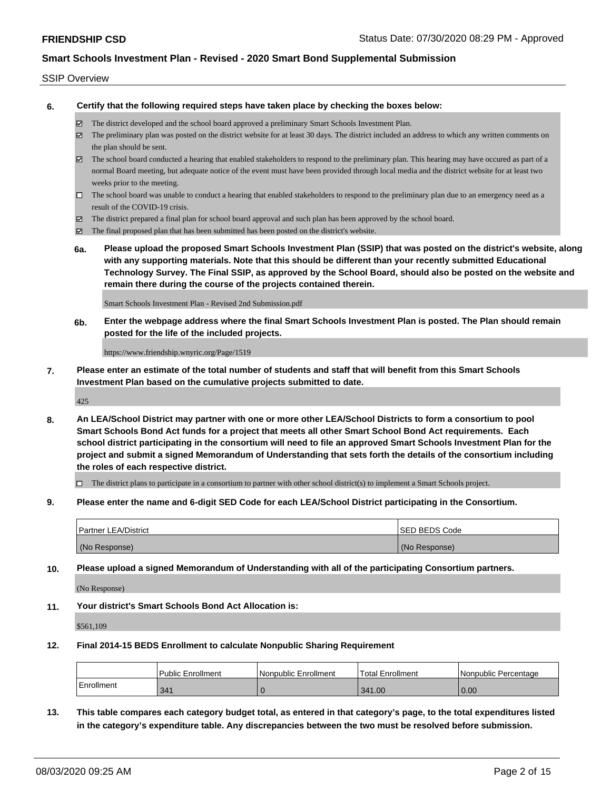#### SSIP Overview

**6. Certify that the following required steps have taken place by checking the boxes below:**

- The district developed and the school board approved a preliminary Smart Schools Investment Plan.
- The preliminary plan was posted on the district website for at least 30 days. The district included an address to which any written comments on the plan should be sent.
- The school board conducted a hearing that enabled stakeholders to respond to the preliminary plan. This hearing may have occured as part of a normal Board meeting, but adequate notice of the event must have been provided through local media and the district website for at least two weeks prior to the meeting.
- $\Box$  The school board was unable to conduct a hearing that enabled stakeholders to respond to the preliminary plan due to an emergency need as a result of the COVID-19 crisis.
- The district prepared a final plan for school board approval and such plan has been approved by the school board.
- $\boxtimes$  The final proposed plan that has been submitted has been posted on the district's website.
- **6a. Please upload the proposed Smart Schools Investment Plan (SSIP) that was posted on the district's website, along with any supporting materials. Note that this should be different than your recently submitted Educational Technology Survey. The Final SSIP, as approved by the School Board, should also be posted on the website and remain there during the course of the projects contained therein.**

Smart Schools Investment Plan - Revised 2nd Submission.pdf

**6b. Enter the webpage address where the final Smart Schools Investment Plan is posted. The Plan should remain posted for the life of the included projects.**

https://www.friendship.wnyric.org/Page/1519

**7. Please enter an estimate of the total number of students and staff that will benefit from this Smart Schools Investment Plan based on the cumulative projects submitted to date.**

425

**8. An LEA/School District may partner with one or more other LEA/School Districts to form a consortium to pool Smart Schools Bond Act funds for a project that meets all other Smart School Bond Act requirements. Each school district participating in the consortium will need to file an approved Smart Schools Investment Plan for the project and submit a signed Memorandum of Understanding that sets forth the details of the consortium including the roles of each respective district.**

 $\Box$  The district plans to participate in a consortium to partner with other school district(s) to implement a Smart Schools project.

**9. Please enter the name and 6-digit SED Code for each LEA/School District participating in the Consortium.**

| <b>Partner LEA/District</b> | <b>ISED BEDS Code</b> |
|-----------------------------|-----------------------|
| (No Response)               | (No Response)         |

**10. Please upload a signed Memorandum of Understanding with all of the participating Consortium partners.**

(No Response)

**11. Your district's Smart Schools Bond Act Allocation is:**

\$561,109

#### **12. Final 2014-15 BEDS Enrollment to calculate Nonpublic Sharing Requirement**

|            | Public Enrollment | Nonpublic Enrollment | <sup>1</sup> Total Enrollment | Nonpublic Percentage |
|------------|-------------------|----------------------|-------------------------------|----------------------|
| Enrollment | 341               |                      | 341.00                        | 0.00                 |

**13. This table compares each category budget total, as entered in that category's page, to the total expenditures listed in the category's expenditure table. Any discrepancies between the two must be resolved before submission.**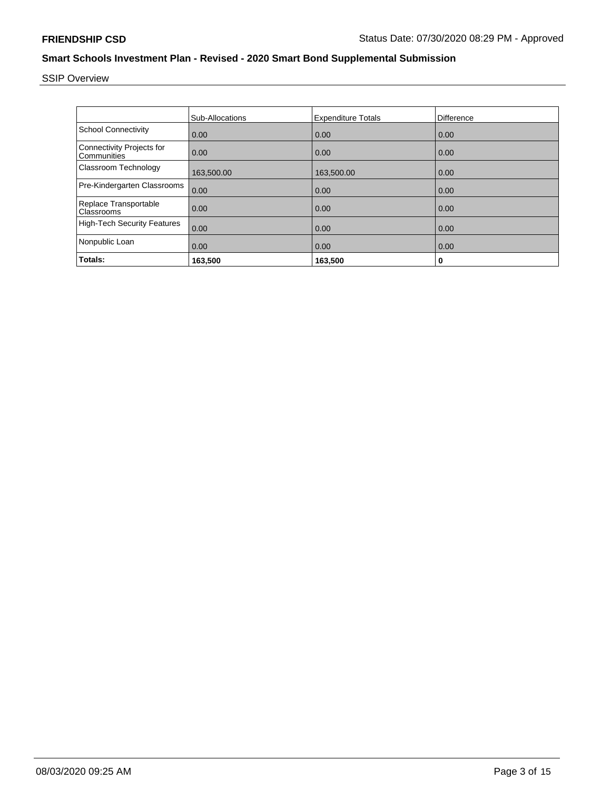SSIP Overview

|                                                 | <b>Sub-Allocations</b> | <b>Expenditure Totals</b> | <b>Difference</b> |
|-------------------------------------------------|------------------------|---------------------------|-------------------|
| <b>School Connectivity</b>                      | 0.00                   | 0.00                      | 0.00              |
| <b>Connectivity Projects for</b><br>Communities | 0.00                   | 0.00                      | 0.00              |
| Classroom Technology                            | 163,500.00             | 163,500.00                | 0.00              |
| Pre-Kindergarten Classrooms                     | 0.00                   | 0.00                      | 0.00              |
| Replace Transportable<br>Classrooms             | 0.00                   | 0.00                      | 0.00              |
| <b>High-Tech Security Features</b>              | 0.00                   | 0.00                      | 0.00              |
| Nonpublic Loan                                  | 0.00                   | 0.00                      | 0.00              |
| Totals:                                         | 163,500                | 163,500                   | 0                 |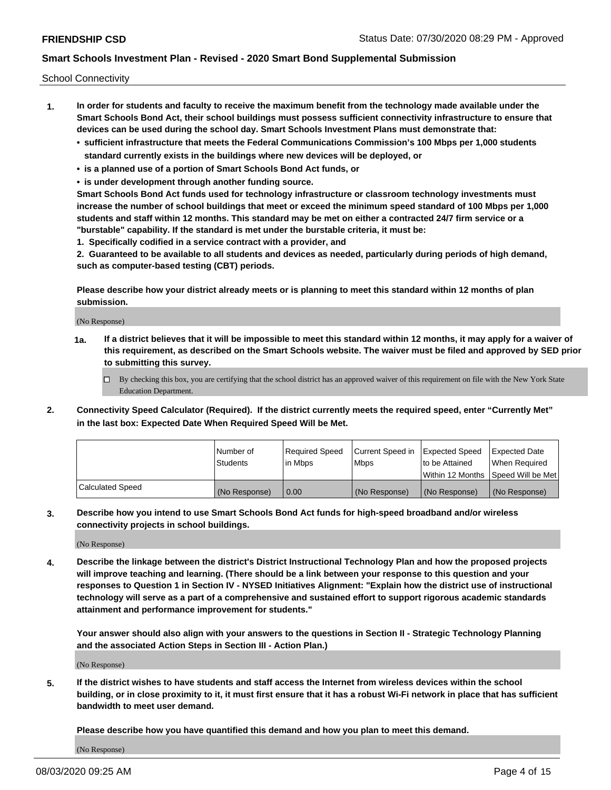School Connectivity

- **1. In order for students and faculty to receive the maximum benefit from the technology made available under the Smart Schools Bond Act, their school buildings must possess sufficient connectivity infrastructure to ensure that devices can be used during the school day. Smart Schools Investment Plans must demonstrate that:**
	- **• sufficient infrastructure that meets the Federal Communications Commission's 100 Mbps per 1,000 students standard currently exists in the buildings where new devices will be deployed, or**
	- **• is a planned use of a portion of Smart Schools Bond Act funds, or**
	- **• is under development through another funding source.**

**Smart Schools Bond Act funds used for technology infrastructure or classroom technology investments must increase the number of school buildings that meet or exceed the minimum speed standard of 100 Mbps per 1,000 students and staff within 12 months. This standard may be met on either a contracted 24/7 firm service or a "burstable" capability. If the standard is met under the burstable criteria, it must be:**

**1. Specifically codified in a service contract with a provider, and**

**2. Guaranteed to be available to all students and devices as needed, particularly during periods of high demand, such as computer-based testing (CBT) periods.**

**Please describe how your district already meets or is planning to meet this standard within 12 months of plan submission.**

(No Response)

**1a. If a district believes that it will be impossible to meet this standard within 12 months, it may apply for a waiver of this requirement, as described on the Smart Schools website. The waiver must be filed and approved by SED prior to submitting this survey.**

 $\Box$  By checking this box, you are certifying that the school district has an approved waiver of this requirement on file with the New York State Education Department.

**2. Connectivity Speed Calculator (Required). If the district currently meets the required speed, enter "Currently Met" in the last box: Expected Date When Required Speed Will be Met.**

|                  | l Number of     | Required Speed | Current Speed in | Expected Speed | Expected Date                        |
|------------------|-----------------|----------------|------------------|----------------|--------------------------------------|
|                  | <b>Students</b> | In Mbps        | <b>Mbps</b>      | to be Attained | When Required                        |
|                  |                 |                |                  |                | Within 12 Months 1Speed Will be Met1 |
| Calculated Speed | (No Response)   | 0.00           | (No Response)    | (No Response)  | l (No Response)                      |

**3. Describe how you intend to use Smart Schools Bond Act funds for high-speed broadband and/or wireless connectivity projects in school buildings.**

(No Response)

**4. Describe the linkage between the district's District Instructional Technology Plan and how the proposed projects will improve teaching and learning. (There should be a link between your response to this question and your responses to Question 1 in Section IV - NYSED Initiatives Alignment: "Explain how the district use of instructional technology will serve as a part of a comprehensive and sustained effort to support rigorous academic standards attainment and performance improvement for students."** 

**Your answer should also align with your answers to the questions in Section II - Strategic Technology Planning and the associated Action Steps in Section III - Action Plan.)**

(No Response)

**5. If the district wishes to have students and staff access the Internet from wireless devices within the school building, or in close proximity to it, it must first ensure that it has a robust Wi-Fi network in place that has sufficient bandwidth to meet user demand.**

**Please describe how you have quantified this demand and how you plan to meet this demand.**

(No Response)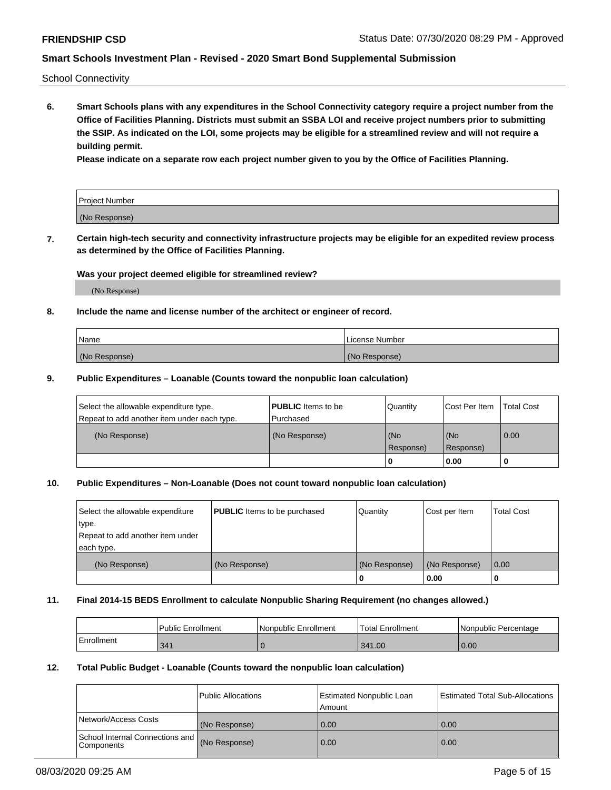School Connectivity

**6. Smart Schools plans with any expenditures in the School Connectivity category require a project number from the Office of Facilities Planning. Districts must submit an SSBA LOI and receive project numbers prior to submitting the SSIP. As indicated on the LOI, some projects may be eligible for a streamlined review and will not require a building permit.**

**Please indicate on a separate row each project number given to you by the Office of Facilities Planning.**

| Project Number |  |
|----------------|--|
| (No Response)  |  |

**7. Certain high-tech security and connectivity infrastructure projects may be eligible for an expedited review process as determined by the Office of Facilities Planning.**

### **Was your project deemed eligible for streamlined review?**

(No Response)

### **8. Include the name and license number of the architect or engineer of record.**

| Name          | License Number |
|---------------|----------------|
| (No Response) | (No Response)  |

### **9. Public Expenditures – Loanable (Counts toward the nonpublic loan calculation)**

| Select the allowable expenditure type.<br>Repeat to add another item under each type. | <b>PUBLIC</b> Items to be<br>l Purchased | Quantity         | l Cost Per Item  | <b>Total Cost</b> |
|---------------------------------------------------------------------------------------|------------------------------------------|------------------|------------------|-------------------|
| (No Response)                                                                         | (No Response)                            | (No<br>Response) | (No<br>Response) | 0.00              |
|                                                                                       |                                          | 0                | 0.00             |                   |

### **10. Public Expenditures – Non-Loanable (Does not count toward nonpublic loan calculation)**

| Select the allowable expenditure | <b>PUBLIC</b> Items to be purchased | Quantity      | Cost per Item | <b>Total Cost</b> |
|----------------------------------|-------------------------------------|---------------|---------------|-------------------|
| type.                            |                                     |               |               |                   |
| Repeat to add another item under |                                     |               |               |                   |
| each type.                       |                                     |               |               |                   |
| (No Response)                    | (No Response)                       | (No Response) | (No Response) | 0.00              |
|                                  |                                     |               | 0.00          |                   |

#### **11. Final 2014-15 BEDS Enrollment to calculate Nonpublic Sharing Requirement (no changes allowed.)**

|            | Public Enrollment | Nonpublic Enrollment | <b>Total Enrollment</b> | l Nonpublic Percentage |
|------------|-------------------|----------------------|-------------------------|------------------------|
| Enrollment | 341               |                      | 341.00                  | 0.00                   |

### **12. Total Public Budget - Loanable (Counts toward the nonpublic loan calculation)**

|                                               | Public Allocations | <b>Estimated Nonpublic Loan</b><br>Amount | Estimated Total Sub-Allocations |
|-----------------------------------------------|--------------------|-------------------------------------------|---------------------------------|
| Network/Access Costs                          | (No Response)      | 0.00                                      | 0.00                            |
| School Internal Connections and<br>Components | (No Response)      | 0.00                                      | 0.00                            |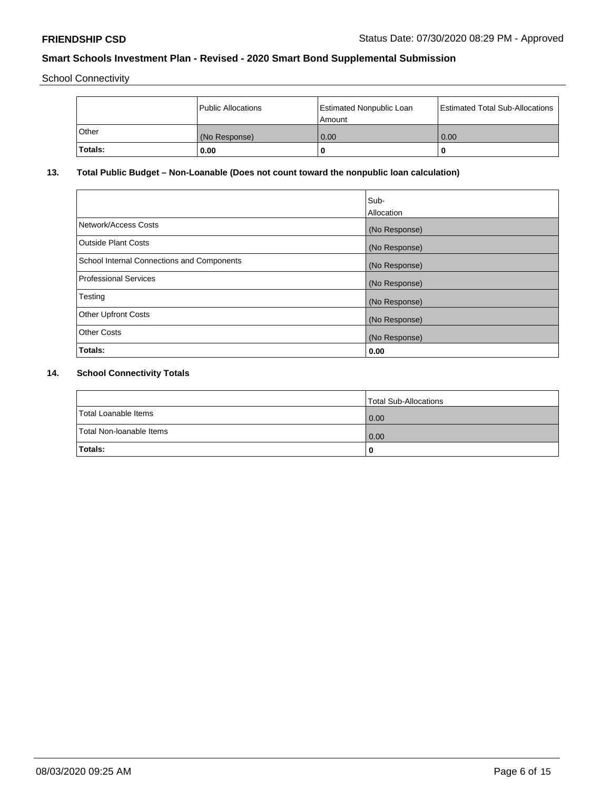School Connectivity

|              | <b>Public Allocations</b> | <b>Estimated Nonpublic Loan</b><br>l Amount | <b>Estimated Total Sub-Allocations</b> |
|--------------|---------------------------|---------------------------------------------|----------------------------------------|
| <b>Other</b> | (No Response)             | 0.00                                        | 0.00                                   |
| Totals:      | 0.00                      | 0                                           | ш                                      |

# **13. Total Public Budget – Non-Loanable (Does not count toward the nonpublic loan calculation)**

|                                                   | Sub-<br>Allocation |
|---------------------------------------------------|--------------------|
| Network/Access Costs                              | (No Response)      |
| Outside Plant Costs                               | (No Response)      |
| <b>School Internal Connections and Components</b> | (No Response)      |
| Professional Services                             | (No Response)      |
| Testing                                           | (No Response)      |
| <b>Other Upfront Costs</b>                        | (No Response)      |
| <b>Other Costs</b>                                | (No Response)      |
| Totals:                                           | 0.00               |

# **14. School Connectivity Totals**

|                          | Total Sub-Allocations |
|--------------------------|-----------------------|
| Total Loanable Items     | 0.00                  |
| Total Non-Ioanable Items | 0.00                  |
| Totals:                  | 0                     |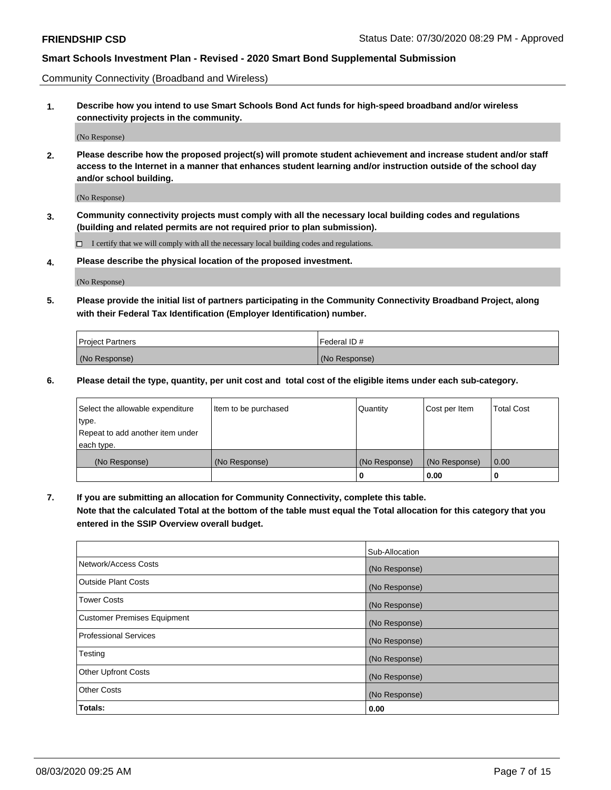Community Connectivity (Broadband and Wireless)

**1. Describe how you intend to use Smart Schools Bond Act funds for high-speed broadband and/or wireless connectivity projects in the community.**

(No Response)

**2. Please describe how the proposed project(s) will promote student achievement and increase student and/or staff access to the Internet in a manner that enhances student learning and/or instruction outside of the school day and/or school building.**

(No Response)

**3. Community connectivity projects must comply with all the necessary local building codes and regulations (building and related permits are not required prior to plan submission).**

 $\Box$  I certify that we will comply with all the necessary local building codes and regulations.

**4. Please describe the physical location of the proposed investment.**

(No Response)

**5. Please provide the initial list of partners participating in the Community Connectivity Broadband Project, along with their Federal Tax Identification (Employer Identification) number.**

| <b>Project Partners</b> | l Federal ID # |
|-------------------------|----------------|
| (No Response)           | (No Response)  |

**6. Please detail the type, quantity, per unit cost and total cost of the eligible items under each sub-category.**

| Select the allowable expenditure | Item to be purchased | Quantity      | Cost per Item | <b>Total Cost</b> |
|----------------------------------|----------------------|---------------|---------------|-------------------|
| type.                            |                      |               |               |                   |
| Repeat to add another item under |                      |               |               |                   |
| each type.                       |                      |               |               |                   |
| (No Response)                    | (No Response)        | (No Response) | (No Response) | 0.00              |
|                                  |                      | U             | 0.00          |                   |

**7. If you are submitting an allocation for Community Connectivity, complete this table.**

**Note that the calculated Total at the bottom of the table must equal the Total allocation for this category that you entered in the SSIP Overview overall budget.**

|                                    | Sub-Allocation |
|------------------------------------|----------------|
| Network/Access Costs               | (No Response)  |
| Outside Plant Costs                | (No Response)  |
| <b>Tower Costs</b>                 | (No Response)  |
| <b>Customer Premises Equipment</b> | (No Response)  |
| <b>Professional Services</b>       | (No Response)  |
| Testing                            | (No Response)  |
| <b>Other Upfront Costs</b>         | (No Response)  |
| <b>Other Costs</b>                 | (No Response)  |
| Totals:                            | 0.00           |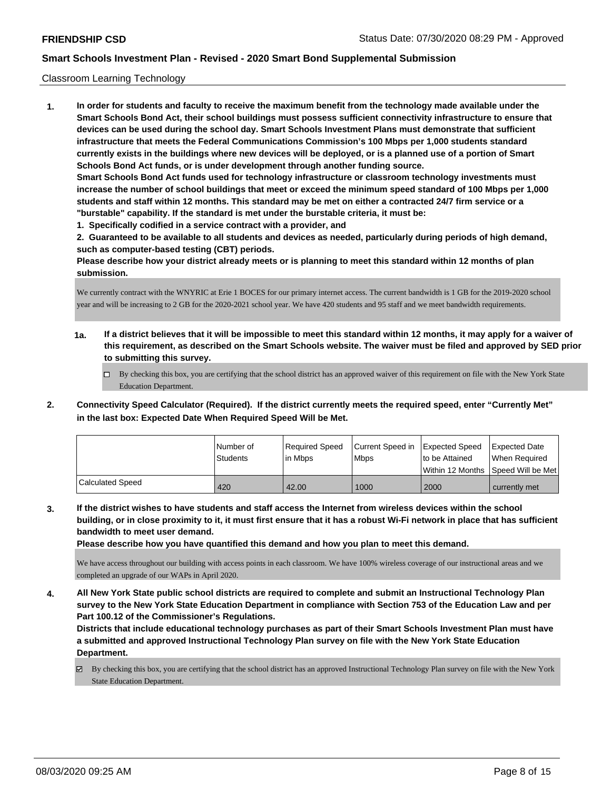#### Classroom Learning Technology

**1. In order for students and faculty to receive the maximum benefit from the technology made available under the Smart Schools Bond Act, their school buildings must possess sufficient connectivity infrastructure to ensure that devices can be used during the school day. Smart Schools Investment Plans must demonstrate that sufficient infrastructure that meets the Federal Communications Commission's 100 Mbps per 1,000 students standard currently exists in the buildings where new devices will be deployed, or is a planned use of a portion of Smart Schools Bond Act funds, or is under development through another funding source. Smart Schools Bond Act funds used for technology infrastructure or classroom technology investments must increase the number of school buildings that meet or exceed the minimum speed standard of 100 Mbps per 1,000 students and staff within 12 months. This standard may be met on either a contracted 24/7 firm service or a "burstable" capability. If the standard is met under the burstable criteria, it must be:**

**1. Specifically codified in a service contract with a provider, and**

**2. Guaranteed to be available to all students and devices as needed, particularly during periods of high demand, such as computer-based testing (CBT) periods.**

**Please describe how your district already meets or is planning to meet this standard within 12 months of plan submission.**

We currently contract with the WNYRIC at Erie 1 BOCES for our primary internet access. The current bandwidth is 1 GB for the 2019-2020 school year and will be increasing to 2 GB for the 2020-2021 school year. We have 420 students and 95 staff and we meet bandwidth requirements.

- **1a. If a district believes that it will be impossible to meet this standard within 12 months, it may apply for a waiver of this requirement, as described on the Smart Schools website. The waiver must be filed and approved by SED prior to submitting this survey.**
	- By checking this box, you are certifying that the school district has an approved waiver of this requirement on file with the New York State Education Department.
- **2. Connectivity Speed Calculator (Required). If the district currently meets the required speed, enter "Currently Met" in the last box: Expected Date When Required Speed Will be Met.**

|                         | l Number of | Required Speed | Current Speed in | <b>Expected Speed</b> | Expected Date     |
|-------------------------|-------------|----------------|------------------|-----------------------|-------------------|
|                         | Students    | l in Mbps      | <b>Mbps</b>      | to be Attained        | When Required     |
|                         |             |                |                  | l Within 12 Months    | Speed Will be Met |
| <b>Calculated Speed</b> | 420         | 42.00          | 1000             | 2000                  | currently met     |

**3. If the district wishes to have students and staff access the Internet from wireless devices within the school building, or in close proximity to it, it must first ensure that it has a robust Wi-Fi network in place that has sufficient bandwidth to meet user demand.**

**Please describe how you have quantified this demand and how you plan to meet this demand.**

We have access throughout our building with access points in each classroom. We have 100% wireless coverage of our instructional areas and we completed an upgrade of our WAPs in April 2020.

**4. All New York State public school districts are required to complete and submit an Instructional Technology Plan survey to the New York State Education Department in compliance with Section 753 of the Education Law and per Part 100.12 of the Commissioner's Regulations.**

**Districts that include educational technology purchases as part of their Smart Schools Investment Plan must have a submitted and approved Instructional Technology Plan survey on file with the New York State Education Department.**

By checking this box, you are certifying that the school district has an approved Instructional Technology Plan survey on file with the New York State Education Department.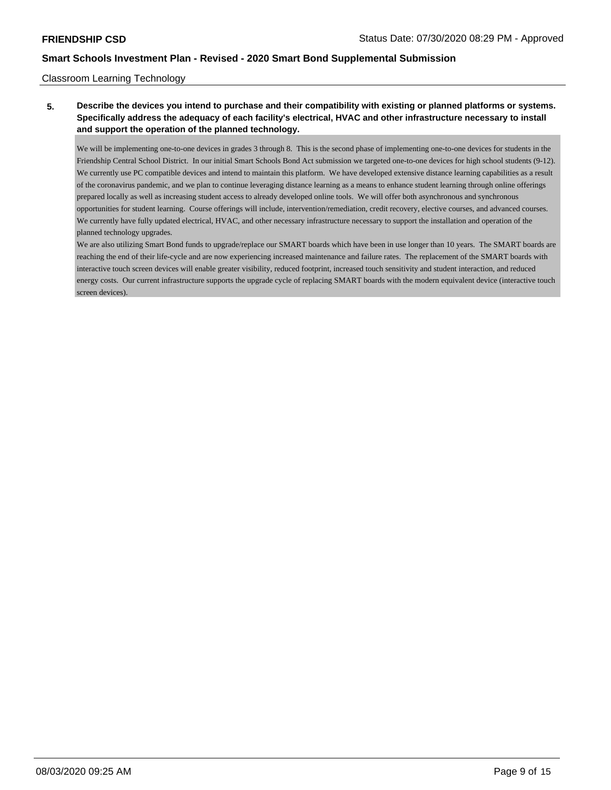### Classroom Learning Technology

# **5. Describe the devices you intend to purchase and their compatibility with existing or planned platforms or systems. Specifically address the adequacy of each facility's electrical, HVAC and other infrastructure necessary to install and support the operation of the planned technology.**

We will be implementing one-to-one devices in grades 3 through 8. This is the second phase of implementing one-to-one devices for students in the Friendship Central School District. In our initial Smart Schools Bond Act submission we targeted one-to-one devices for high school students (9-12). We currently use PC compatible devices and intend to maintain this platform. We have developed extensive distance learning capabilities as a result of the coronavirus pandemic, and we plan to continue leveraging distance learning as a means to enhance student learning through online offerings prepared locally as well as increasing student access to already developed online tools. We will offer both asynchronous and synchronous opportunities for student learning. Course offerings will include, intervention/remediation, credit recovery, elective courses, and advanced courses. We currently have fully updated electrical, HVAC, and other necessary infrastructure necessary to support the installation and operation of the planned technology upgrades.

We are also utilizing Smart Bond funds to upgrade/replace our SMART boards which have been in use longer than 10 years. The SMART boards are reaching the end of their life-cycle and are now experiencing increased maintenance and failure rates. The replacement of the SMART boards with interactive touch screen devices will enable greater visibility, reduced footprint, increased touch sensitivity and student interaction, and reduced energy costs. Our current infrastructure supports the upgrade cycle of replacing SMART boards with the modern equivalent device (interactive touch screen devices).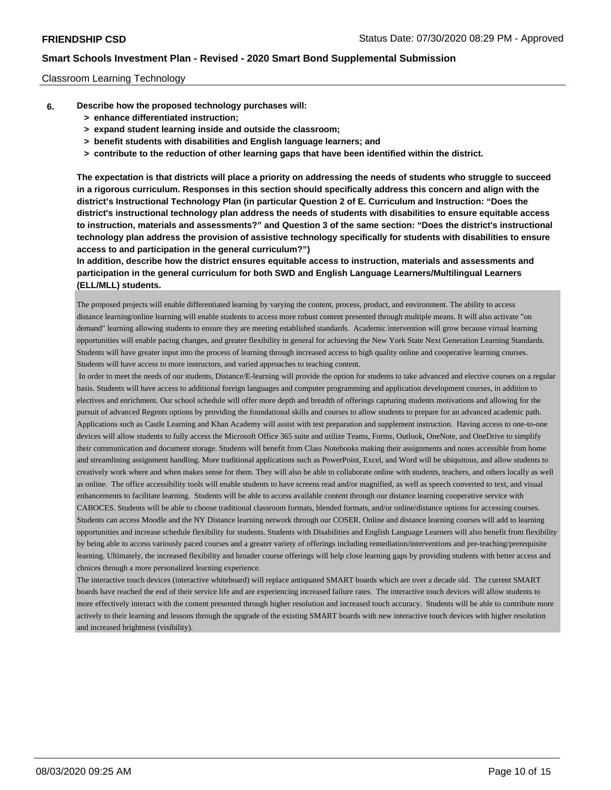### Classroom Learning Technology

- **6. Describe how the proposed technology purchases will:**
	- **> enhance differentiated instruction;**
	- **> expand student learning inside and outside the classroom;**
	- **> benefit students with disabilities and English language learners; and**
	- **> contribute to the reduction of other learning gaps that have been identified within the district.**

**The expectation is that districts will place a priority on addressing the needs of students who struggle to succeed in a rigorous curriculum. Responses in this section should specifically address this concern and align with the district's Instructional Technology Plan (in particular Question 2 of E. Curriculum and Instruction: "Does the district's instructional technology plan address the needs of students with disabilities to ensure equitable access to instruction, materials and assessments?" and Question 3 of the same section: "Does the district's instructional technology plan address the provision of assistive technology specifically for students with disabilities to ensure access to and participation in the general curriculum?")**

**In addition, describe how the district ensures equitable access to instruction, materials and assessments and participation in the general curriculum for both SWD and English Language Learners/Multilingual Learners (ELL/MLL) students.**

The proposed projects will enable differentiated learning by varying the content, process, product, and environment. The ability to access distance learning/online learning will enable students to access more robust content presented through multiple means. It will also activate "on demand" learning allowing students to ensure they are meeting established standards. Academic intervention will grow because virtual learning opportunities will enable pacing changes, and greater flexibility in general for achieving the New York State Next Generation Learning Standards. Students will have greater input into the process of learning through increased access to high quality online and cooperative learning courses. Students will have access to more instructors, and varied approaches to teaching content.

 In order to meet the needs of our students, Distance/E-learning will provide the option for students to take advanced and elective courses on a regular basis. Students will have access to additional foreign languages and computer programming and application development courses, in addition to electives and enrichment. Our school schedule will offer more depth and breadth of offerings capturing students motivations and allowing for the pursuit of advanced Regents options by providing the foundational skills and courses to allow students to prepare for an advanced academic path. Applications such as Castle Learning and Khan Academy will assist with test preparation and supplement instruction. Having access to one-to-one devices will allow students to fully access the Microsoft Office 365 suite and utilize Teams, Forms, Outlook, OneNote, and OneDrive to simplify their communication and document storage. Students will benefit from Class Notebooks making their assignments and notes accessible from home and streamlining assignment handling. More traditional applications such as PowerPoint, Excel, and Word will be ubiquitous, and allow students to creatively work where and when makes sense for them. They will also be able to collaborate online with students, teachers, and others locally as well as online. The office accessibility tools will enable students to have screens read and/or magnified, as well as speech converted to text, and visual enhancements to facilitate learning. Students will be able to access available content through our distance learning cooperative service with CABOCES. Students will be able to choose traditional classroom formats, blended formats, and/or online/distance options for accessing courses. Students can access Moodle and the NY Distance learning network through our COSER. Online and distance learning courses will add to learning opportunities and increase schedule flexibility for students. Students with Disabilities and English Language Learners will also benefit from flexibility by being able to access variously paced courses and a greater variety of offerings including remediation/interventions and pre-teaching/prerequisite learning. Ultimately, the increased flexibility and broader course offerings will help close learning gaps by providing students with better access and choices through a more personalized learning experience.

The interactive touch devices (interactive whiteboard) will replace antiquated SMART boards which are over a decade old. The current SMART boards have reached the end of their service life and are experiencing increased failure rates. The interactive touch devices will allow students to more effectively interact with the content presented through higher resolution and increased touch accuracy. Students will be able to contribute more actively to their learning and lessons through the upgrade of the existing SMART boards with new interactive touch devices with higher resolution and increased brightness (visibility).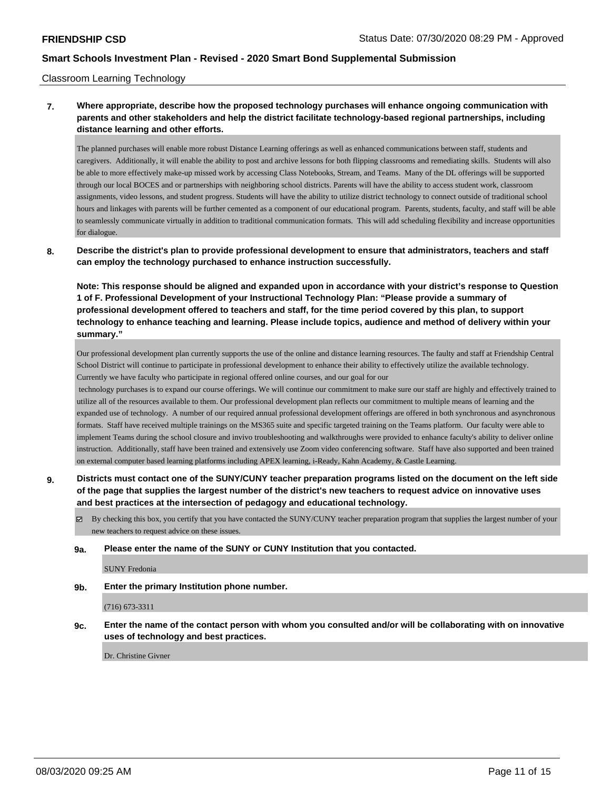#### Classroom Learning Technology

# **7. Where appropriate, describe how the proposed technology purchases will enhance ongoing communication with parents and other stakeholders and help the district facilitate technology-based regional partnerships, including distance learning and other efforts.**

The planned purchases will enable more robust Distance Learning offerings as well as enhanced communications between staff, students and caregivers. Additionally, it will enable the ability to post and archive lessons for both flipping classrooms and remediating skills. Students will also be able to more effectively make-up missed work by accessing Class Notebooks, Stream, and Teams. Many of the DL offerings will be supported through our local BOCES and or partnerships with neighboring school districts. Parents will have the ability to access student work, classroom assignments, video lessons, and student progress. Students will have the ability to utilize district technology to connect outside of traditional school hours and linkages with parents will be further cemented as a component of our educational program. Parents, students, faculty, and staff will be able to seamlessly communicate virtually in addition to traditional communication formats. This will add scheduling flexibility and increase opportunities for dialogue.

### **8. Describe the district's plan to provide professional development to ensure that administrators, teachers and staff can employ the technology purchased to enhance instruction successfully.**

**Note: This response should be aligned and expanded upon in accordance with your district's response to Question 1 of F. Professional Development of your Instructional Technology Plan: "Please provide a summary of professional development offered to teachers and staff, for the time period covered by this plan, to support technology to enhance teaching and learning. Please include topics, audience and method of delivery within your summary."**

Our professional development plan currently supports the use of the online and distance learning resources. The faulty and staff at Friendship Central School District will continue to participate in professional development to enhance their ability to effectively utilize the available technology. Currently we have faculty who participate in regional offered online courses, and our goal for our

 technology purchases is to expand our course offerings. We will continue our commitment to make sure our staff are highly and effectively trained to utilize all of the resources available to them. Our professional development plan reflects our commitment to multiple means of learning and the expanded use of technology. A number of our required annual professional development offerings are offered in both synchronous and asynchronous formats. Staff have received multiple trainings on the MS365 suite and specific targeted training on the Teams platform. Our faculty were able to implement Teams during the school closure and invivo troubleshooting and walkthroughs were provided to enhance faculty's ability to deliver online instruction. Additionally, staff have been trained and extensively use Zoom video conferencing software. Staff have also supported and been trained on external computer based learning platforms including APEX learning, i-Ready, Kahn Academy, & Castle Learning.

**9. Districts must contact one of the SUNY/CUNY teacher preparation programs listed on the document on the left side of the page that supplies the largest number of the district's new teachers to request advice on innovative uses and best practices at the intersection of pedagogy and educational technology.**

 $\boxtimes$  By checking this box, you certify that you have contacted the SUNY/CUNY teacher preparation program that supplies the largest number of your new teachers to request advice on these issues.

#### **9a. Please enter the name of the SUNY or CUNY Institution that you contacted.**

SUNY Fredonia

**9b. Enter the primary Institution phone number.**

(716) 673-3311

**9c. Enter the name of the contact person with whom you consulted and/or will be collaborating with on innovative uses of technology and best practices.**

Dr. Christine Givner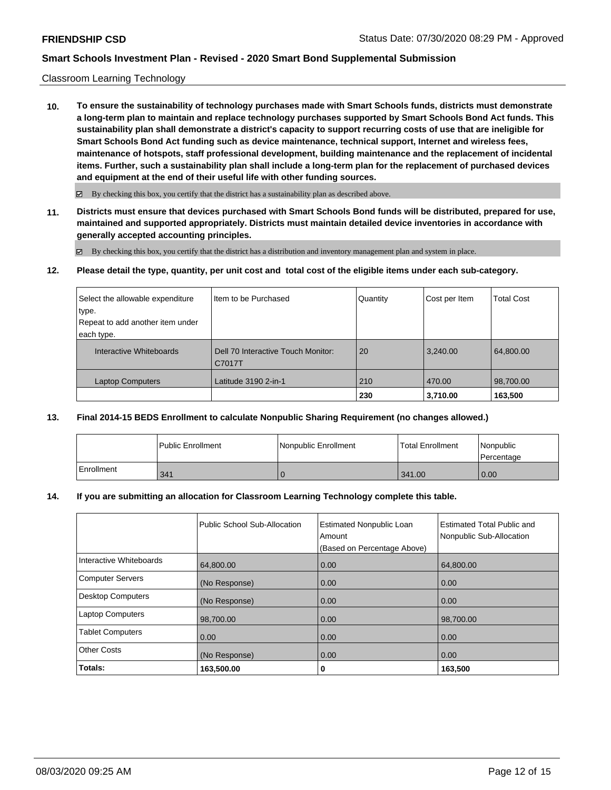### Classroom Learning Technology

**10. To ensure the sustainability of technology purchases made with Smart Schools funds, districts must demonstrate a long-term plan to maintain and replace technology purchases supported by Smart Schools Bond Act funds. This sustainability plan shall demonstrate a district's capacity to support recurring costs of use that are ineligible for Smart Schools Bond Act funding such as device maintenance, technical support, Internet and wireless fees, maintenance of hotspots, staff professional development, building maintenance and the replacement of incidental items. Further, such a sustainability plan shall include a long-term plan for the replacement of purchased devices and equipment at the end of their useful life with other funding sources.**

 $\boxtimes$  By checking this box, you certify that the district has a sustainability plan as described above.

**11. Districts must ensure that devices purchased with Smart Schools Bond funds will be distributed, prepared for use, maintained and supported appropriately. Districts must maintain detailed device inventories in accordance with generally accepted accounting principles.**

By checking this box, you certify that the district has a distribution and inventory management plan and system in place.

**12. Please detail the type, quantity, per unit cost and total cost of the eligible items under each sub-category.**

| Select the allowable expenditure | Item to be Purchased               | Quantity | Cost per Item | <b>Total Cost</b> |
|----------------------------------|------------------------------------|----------|---------------|-------------------|
| type.                            |                                    |          |               |                   |
| Repeat to add another item under |                                    |          |               |                   |
| each type.                       |                                    |          |               |                   |
| Interactive Whiteboards          | Dell 70 Interactive Touch Monitor: | 20       | 3,240.00      | 64,800.00         |
|                                  | C7017T                             |          |               |                   |
| <b>Laptop Computers</b>          | Latitude 3190 2-in-1               | 210      | 470.00        | 98,700.00         |
|                                  |                                    | 230      | 3,710.00      | 163,500           |

### **13. Final 2014-15 BEDS Enrollment to calculate Nonpublic Sharing Requirement (no changes allowed.)**

|            | <b>Public Enrollment</b> | Nonpublic Enrollment | Total Enrollment | <i>Nonpublic</i><br>l Percentage |
|------------|--------------------------|----------------------|------------------|----------------------------------|
| Enrollment | 341                      |                      | 341.00           | 0.00                             |

#### **14. If you are submitting an allocation for Classroom Learning Technology complete this table.**

|                          | Public School Sub-Allocation | <b>Estimated Nonpublic Loan</b><br>Amount<br>(Based on Percentage Above) | <b>Estimated Total Public and</b><br>Nonpublic Sub-Allocation |
|--------------------------|------------------------------|--------------------------------------------------------------------------|---------------------------------------------------------------|
| Interactive Whiteboards  | 64,800.00                    | 0.00                                                                     | 64,800.00                                                     |
| <b>Computer Servers</b>  | (No Response)                | 0.00                                                                     | 0.00                                                          |
| <b>Desktop Computers</b> | (No Response)                | 0.00                                                                     | 0.00                                                          |
| <b>Laptop Computers</b>  | 98,700.00                    | 0.00                                                                     | 98,700.00                                                     |
| <b>Tablet Computers</b>  | 0.00                         | 0.00                                                                     | 0.00                                                          |
| <b>Other Costs</b>       | (No Response)                | 0.00                                                                     | 0.00                                                          |
| Totals:                  | 163,500.00                   | 0                                                                        | 163,500                                                       |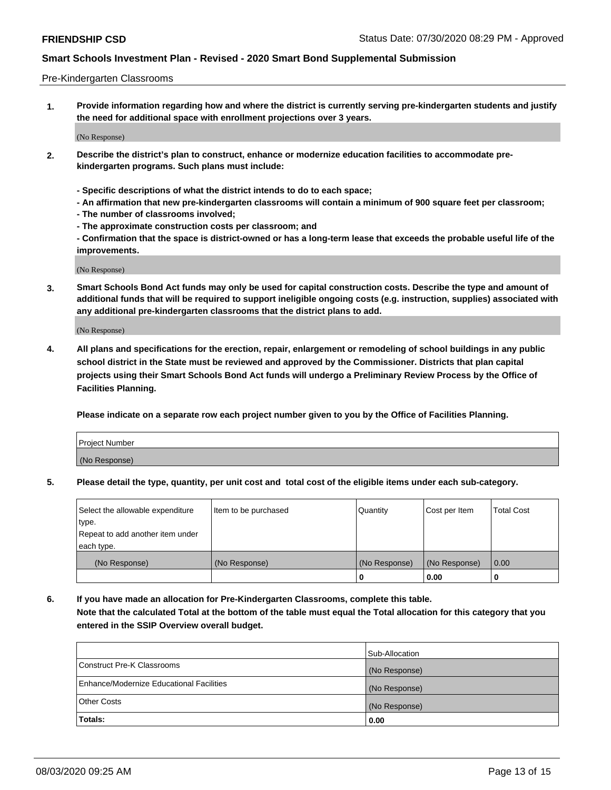#### Pre-Kindergarten Classrooms

**1. Provide information regarding how and where the district is currently serving pre-kindergarten students and justify the need for additional space with enrollment projections over 3 years.**

(No Response)

- **2. Describe the district's plan to construct, enhance or modernize education facilities to accommodate prekindergarten programs. Such plans must include:**
	- **Specific descriptions of what the district intends to do to each space;**
	- **An affirmation that new pre-kindergarten classrooms will contain a minimum of 900 square feet per classroom;**
	- **The number of classrooms involved;**
	- **The approximate construction costs per classroom; and**
	- **Confirmation that the space is district-owned or has a long-term lease that exceeds the probable useful life of the improvements.**

(No Response)

**3. Smart Schools Bond Act funds may only be used for capital construction costs. Describe the type and amount of additional funds that will be required to support ineligible ongoing costs (e.g. instruction, supplies) associated with any additional pre-kindergarten classrooms that the district plans to add.**

(No Response)

**4. All plans and specifications for the erection, repair, enlargement or remodeling of school buildings in any public school district in the State must be reviewed and approved by the Commissioner. Districts that plan capital projects using their Smart Schools Bond Act funds will undergo a Preliminary Review Process by the Office of Facilities Planning.**

**Please indicate on a separate row each project number given to you by the Office of Facilities Planning.**

| Project Number |  |
|----------------|--|
| (No Response)  |  |
|                |  |

**5. Please detail the type, quantity, per unit cost and total cost of the eligible items under each sub-category.**

| Select the allowable expenditure | Item to be purchased | Quantity      | Cost per Item | <b>Total Cost</b> |
|----------------------------------|----------------------|---------------|---------------|-------------------|
| 'type.                           |                      |               |               |                   |
| Repeat to add another item under |                      |               |               |                   |
| each type.                       |                      |               |               |                   |
| (No Response)                    | (No Response)        | (No Response) | (No Response) | 0.00              |
|                                  |                      | U             | 0.00          |                   |

**6. If you have made an allocation for Pre-Kindergarten Classrooms, complete this table. Note that the calculated Total at the bottom of the table must equal the Total allocation for this category that you entered in the SSIP Overview overall budget.**

|                                          | Sub-Allocation |
|------------------------------------------|----------------|
| Construct Pre-K Classrooms               | (No Response)  |
| Enhance/Modernize Educational Facilities | (No Response)  |
| <b>Other Costs</b>                       | (No Response)  |
| Totals:                                  | 0.00           |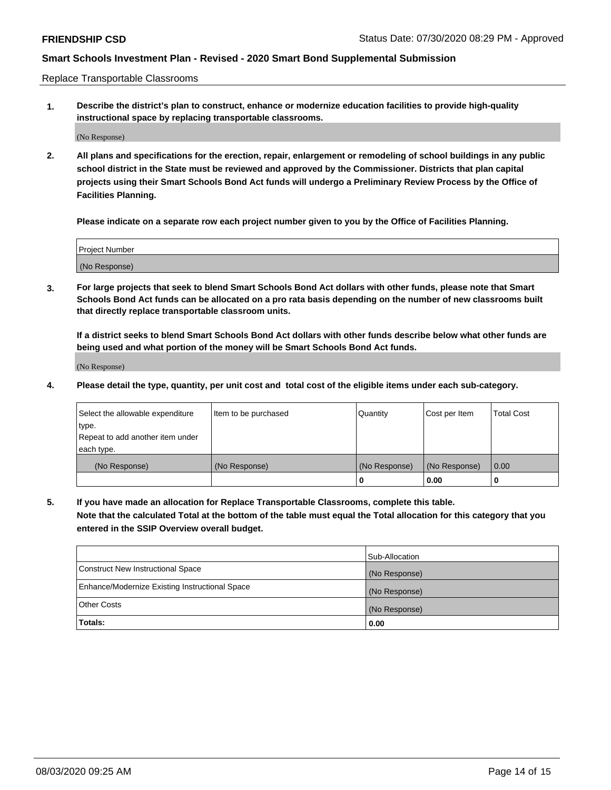Replace Transportable Classrooms

**1. Describe the district's plan to construct, enhance or modernize education facilities to provide high-quality instructional space by replacing transportable classrooms.**

(No Response)

**2. All plans and specifications for the erection, repair, enlargement or remodeling of school buildings in any public school district in the State must be reviewed and approved by the Commissioner. Districts that plan capital projects using their Smart Schools Bond Act funds will undergo a Preliminary Review Process by the Office of Facilities Planning.**

**Please indicate on a separate row each project number given to you by the Office of Facilities Planning.**

| Project Number |  |
|----------------|--|
|                |  |
|                |  |
|                |  |
| (No Response)  |  |
|                |  |
|                |  |

**3. For large projects that seek to blend Smart Schools Bond Act dollars with other funds, please note that Smart Schools Bond Act funds can be allocated on a pro rata basis depending on the number of new classrooms built that directly replace transportable classroom units.**

**If a district seeks to blend Smart Schools Bond Act dollars with other funds describe below what other funds are being used and what portion of the money will be Smart Schools Bond Act funds.**

(No Response)

**4. Please detail the type, quantity, per unit cost and total cost of the eligible items under each sub-category.**

| Select the allowable expenditure           | Item to be purchased | Quantity      | Cost per Item | <b>Total Cost</b> |
|--------------------------------------------|----------------------|---------------|---------------|-------------------|
| ∣type.<br>Repeat to add another item under |                      |               |               |                   |
| each type.                                 |                      |               |               |                   |
| (No Response)                              | (No Response)        | (No Response) | (No Response) | 0.00              |
|                                            |                      | 0             | 0.00          |                   |

**5. If you have made an allocation for Replace Transportable Classrooms, complete this table. Note that the calculated Total at the bottom of the table must equal the Total allocation for this category that you entered in the SSIP Overview overall budget.**

|                                                | Sub-Allocation |
|------------------------------------------------|----------------|
| Construct New Instructional Space              | (No Response)  |
| Enhance/Modernize Existing Instructional Space | (No Response)  |
| Other Costs                                    | (No Response)  |
| Totals:                                        | 0.00           |